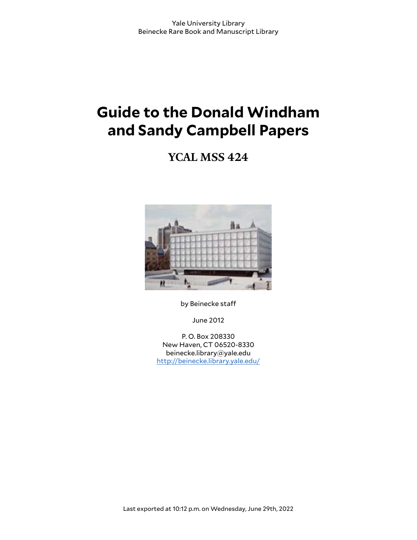# **Guide to the Donald Windham and Sandy Campbell Papers**

**YCAL MSS 424**



by Beinecke staff

June 2012

P. O. Box 208330 New Haven, CT 06520-8330 beinecke.library@yale.edu <http://beinecke.library.yale.edu/>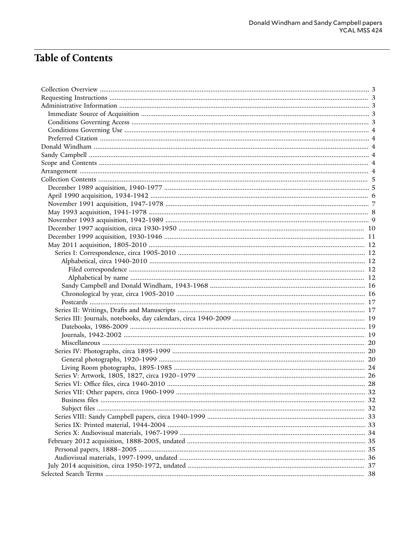# **Table of Contents**

| Series VII: Other papers, circa 1960-1999 |  |
|-------------------------------------------|--|
|                                           |  |
|                                           |  |
|                                           |  |
|                                           |  |
|                                           |  |
|                                           |  |
|                                           |  |
|                                           |  |
|                                           |  |
|                                           |  |
|                                           |  |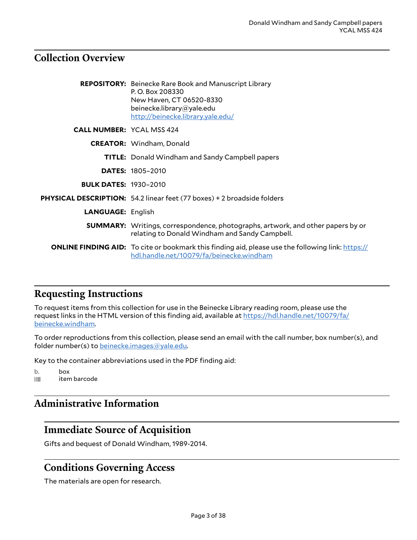### <span id="page-2-0"></span>**Collection Overview**

|                                  | <b>REPOSITORY:</b> Beinecke Rare Book and Manuscript Library<br>P.O. Box 208330<br>New Haven, CT 06520-8330<br>beinecke.library@yale.edu<br>http://beinecke.library.yale.edu/ |
|----------------------------------|-------------------------------------------------------------------------------------------------------------------------------------------------------------------------------|
| <b>CALL NUMBER: YCAL MSS 424</b> |                                                                                                                                                                               |
|                                  | <b>CREATOR:</b> Windham, Donald                                                                                                                                               |
|                                  | <b>TITLE:</b> Donald Windham and Sandy Campbell papers                                                                                                                        |
|                                  | <b>DATES: 1805-2010</b>                                                                                                                                                       |
| <b>BULK DATES: 1930-2010</b>     |                                                                                                                                                                               |
|                                  | PHYSICAL DESCRIPTION: 54.2 linear feet (77 boxes) + 2 broadside folders                                                                                                       |
| <b>LANGUAGE: English</b>         |                                                                                                                                                                               |
|                                  | <b>SUMMARY:</b> Writings, correspondence, photographs, artwork, and other papers by or<br>relating to Donald Windham and Sandy Campbell.                                      |
|                                  | <b>ONLINE FINDING AID:</b> To cite or bookmark this finding aid, please use the following link: https://<br>hdl.handle.net/10079/fa/beinecke.windham                          |

# <span id="page-2-1"></span>**Requesting Instructions**

To request items from this collection for use in the Beinecke Library reading room, please use the request links in the HTML version of this finding aid, available at [https://hdl.handle.net/10079/fa/](https://hdl.handle.net/10079/fa/beinecke.windham) [beinecke.windham](https://hdl.handle.net/10079/fa/beinecke.windham).

To order reproductions from this collection, please send an email with the call number, box number(s), and folder number(s) to [beinecke.images@yale.edu.](mailto:beinecke.images@yale.edu)

Key to the container abbreviations used in the PDF finding aid:

b. box<br>IIII item item barcode

### <span id="page-2-2"></span>**Administrative Information**

### <span id="page-2-3"></span>**Immediate Source of Acquisition**

Gifts and bequest of Donald Windham, 1989-2014.

### <span id="page-2-4"></span>**Conditions Governing Access**

The materials are open for research.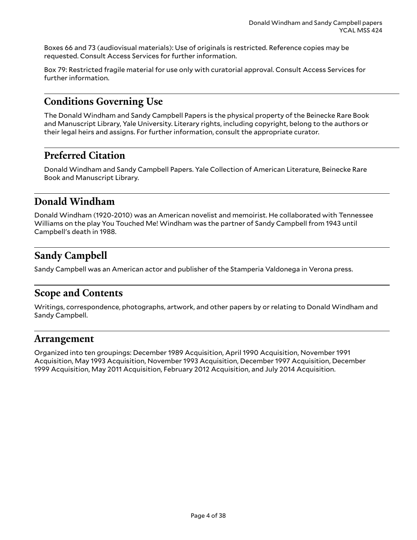Boxes 66 and 73 (audiovisual materials): Use of originals is restricted. Reference copies may be requested. Consult Access Services for further information.

Box 79: Restricted fragile material for use only with curatorial approval. Consult Access Services for further information.

### <span id="page-3-0"></span>**Conditions Governing Use**

The Donald Windham and Sandy Campbell Papers is the physical property of the Beinecke Rare Book and Manuscript Library, Yale University. Literary rights, including copyright, belong to the authors or their legal heirs and assigns. For further information, consult the appropriate curator.

### <span id="page-3-1"></span>**Preferred Citation**

Donald Windham and Sandy Campbell Papers. Yale Collection of American Literature, Beinecke Rare Book and Manuscript Library.

### <span id="page-3-2"></span>**Donald Windham**

Donald Windham (1920-2010) was an American novelist and memoirist. He collaborated with Tennessee Williams on the play You Touched Me! Windham was the partner of Sandy Campbell from 1943 until Campbell's death in 1988.

### <span id="page-3-3"></span>**Sandy Campbell**

Sandy Campbell was an American actor and publisher of the Stamperia Valdonega in Verona press.

### <span id="page-3-4"></span>**Scope and Contents**

Writings, correspondence, photographs, artwork, and other papers by or relating to Donald Windham and Sandy Campbell.

### <span id="page-3-5"></span>**Arrangement**

Organized into ten groupings: December 1989 Acquisition, April 1990 Acquisition, November 1991 Acquisition, May 1993 Acquisition, November 1993 Acquisition, December 1997 Acquisition, December 1999 Acquisition, May 2011 Acquisition, February 2012 Acquisition, and July 2014 Acquisition.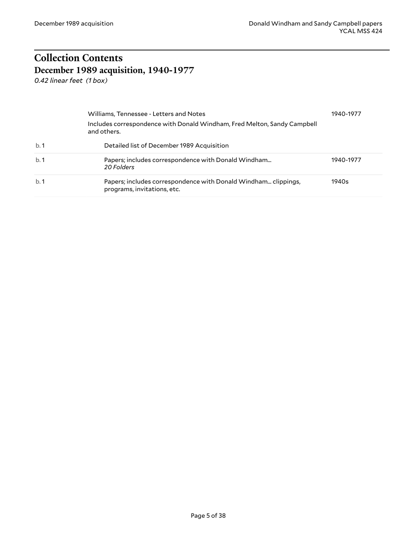# <span id="page-4-0"></span>**Collection Contents December 1989 acquisition, 1940-1977**

<span id="page-4-1"></span>*0.42 linear feet (1 box)*

|     | Williams, Tennessee - Letters and Notes                                                       | 1940-1977 |
|-----|-----------------------------------------------------------------------------------------------|-----------|
|     | Includes correspondence with Donald Windham, Fred Melton, Sandy Campbell<br>and others.       |           |
| b.1 | Detailed list of December 1989 Acquisition                                                    |           |
| b.1 | Papers; includes correspondence with Donald Windham<br>20 Folders                             | 1940-1977 |
| b.1 | Papers; includes correspondence with Donald Windham clippings,<br>programs, invitations, etc. | 1940s     |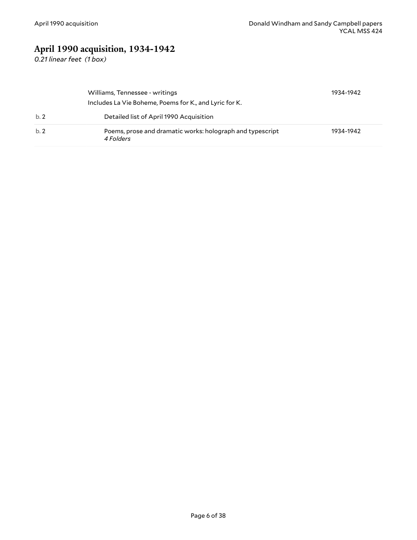# <span id="page-5-0"></span>**April 1990 acquisition, 1934-1942**

*0.21 linear feet (1 box)*

|     | Williams, Tennessee - writings<br>Includes La Vie Boheme, Poems for K., and Lyric for K. | 1934-1942 |
|-----|------------------------------------------------------------------------------------------|-----------|
| b.2 | Detailed list of April 1990 Acquisition                                                  |           |
| b.2 | Poems, prose and dramatic works: holograph and typescript<br>4 Folders                   | 1934-1942 |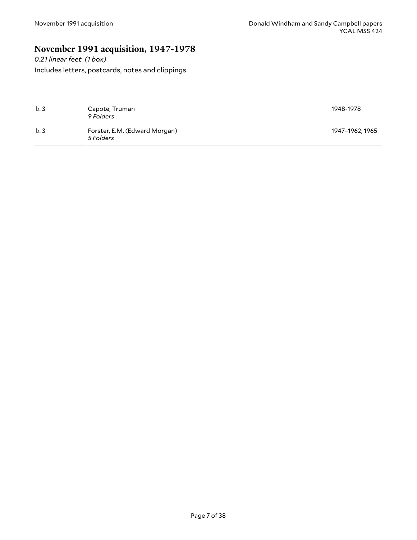### <span id="page-6-0"></span>**November 1991 acquisition, 1947-1978**

*0.21 linear feet (1 box)* Includes letters, postcards, notes and clippings.

| b.3 | Capote, Truman<br>9 Folders                | 1948-1978       |
|-----|--------------------------------------------|-----------------|
| b.3 | Forster, E.M. (Edward Morgan)<br>5 Folders | 1947–1962; 1965 |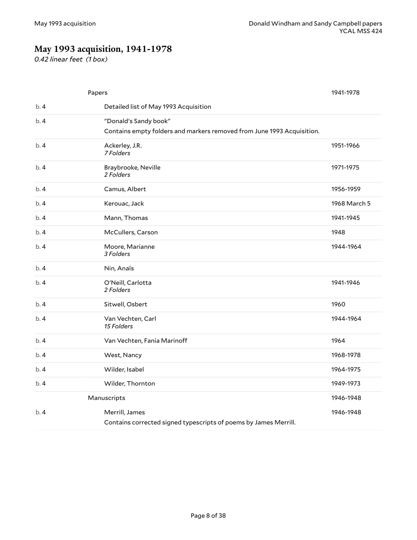# <span id="page-7-0"></span>**May 1993 acquisition, 1941-1978**

*0.42 linear feet (1 box)*

|     | Papers                                                                 | 1941-1978    |
|-----|------------------------------------------------------------------------|--------------|
| b.4 | Detailed list of May 1993 Acquisition                                  |              |
| b.4 | "Donald's Sandy book"                                                  |              |
|     | Contains empty folders and markers removed from June 1993 Acquisition. |              |
| b.4 | Ackerley, J.R.<br>7 Folders                                            | 1951-1966    |
| b.4 | Braybrooke, Neville<br>2 Folders                                       | 1971-1975    |
| b.4 | Camus, Albert                                                          | 1956-1959    |
| b.4 | Kerouac, Jack                                                          | 1968 March 5 |
| b.4 | Mann, Thomas                                                           | 1941-1945    |
| b.4 | McCullers, Carson                                                      | 1948         |
| b.4 | Moore, Marianne<br>3 Folders                                           | 1944-1964    |
| b.4 | Nin, Anaïs                                                             |              |
| b.4 | O'Neill, Carlotta<br>2 Folders                                         | 1941-1946    |
| b.4 | Sitwell, Osbert                                                        | 1960         |
| b.4 | Van Vechten, Carl<br>15 Folders                                        | 1944-1964    |
| b.4 | Van Vechten, Fania Marinoff                                            | 1964         |
| b.4 | West, Nancy                                                            | 1968-1978    |
| b.4 | Wilder, Isabel                                                         | 1964-1975    |
| b.4 | Wilder, Thornton                                                       | 1949-1973    |
|     | Manuscripts                                                            | 1946-1948    |
| b.4 | Merrill, James                                                         | 1946-1948    |
|     | Contains corrected signed typescripts of poems by James Merrill.       |              |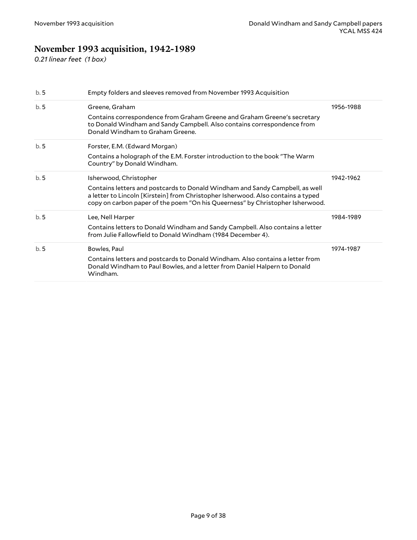# <span id="page-8-0"></span>**November 1993 acquisition, 1942-1989**

*0.21 linear feet (1 box)*

| b.5 | Empty folders and sleeves removed from November 1993 Acquisition                                                                                                                                                                                  |           |
|-----|---------------------------------------------------------------------------------------------------------------------------------------------------------------------------------------------------------------------------------------------------|-----------|
| b.5 | Greene, Graham                                                                                                                                                                                                                                    | 1956-1988 |
|     | Contains correspondence from Graham Greene and Graham Greene's secretary<br>to Donald Windham and Sandy Campbell. Also contains correspondence from<br>Donald Windham to Graham Greene.                                                           |           |
| b.5 | Forster, E.M. (Edward Morgan)                                                                                                                                                                                                                     |           |
|     | Contains a holograph of the E.M. Forster introduction to the book "The Warm<br>Country" by Donald Windham.                                                                                                                                        |           |
| b.5 | Isherwood, Christopher                                                                                                                                                                                                                            | 1942-1962 |
|     | Contains letters and postcards to Donald Windham and Sandy Campbell, as well<br>a letter to Lincoln [Kirstein] from Christopher Isherwood. Also contains a typed<br>copy on carbon paper of the poem "On his Queerness" by Christopher Isherwood. |           |
| b.5 | Lee, Nell Harper                                                                                                                                                                                                                                  | 1984-1989 |
|     | Contains letters to Donald Windham and Sandy Campbell. Also contains a letter<br>from Julie Fallowfield to Donald Windham (1984 December 4).                                                                                                      |           |
| b.5 | Bowles, Paul                                                                                                                                                                                                                                      | 1974-1987 |
|     | Contains letters and postcards to Donald Windham. Also contains a letter from<br>Donald Windham to Paul Bowles, and a letter from Daniel Halpern to Donald<br>Windham.                                                                            |           |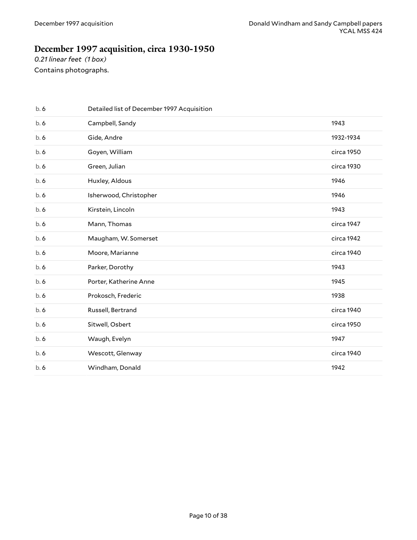### <span id="page-9-0"></span>**December 1997 acquisition, circa 1930-1950**

*0.21 linear feet (1 box)* Contains photographs.

| b.6 | Detailed list of December 1997 Acquisition |            |
|-----|--------------------------------------------|------------|
| b.6 | Campbell, Sandy                            | 1943       |
| b.6 | Gide, Andre                                | 1932-1934  |
| b.6 | Goyen, William                             | circa 1950 |
| b.6 | Green, Julian                              | circa 1930 |
| b.6 | Huxley, Aldous                             | 1946       |
| b.6 | Isherwood, Christopher                     | 1946       |
| b.6 | Kirstein, Lincoln                          | 1943       |
| b.6 | Mann, Thomas                               | circa 1947 |
| b.6 | Maugham, W. Somerset                       | circa 1942 |
| b.6 | Moore, Marianne                            | circa 1940 |
| b.6 | Parker, Dorothy                            | 1943       |
| b.6 | Porter, Katherine Anne                     | 1945       |
| b.6 | Prokosch, Frederic                         | 1938       |
| b.6 | Russell, Bertrand                          | circa 1940 |
| b.6 | Sitwell, Osbert                            | circa 1950 |
| b.6 | Waugh, Evelyn                              | 1947       |
| b.6 | Wescott, Glenway                           | circa 1940 |
| b.6 | Windham, Donald                            | 1942       |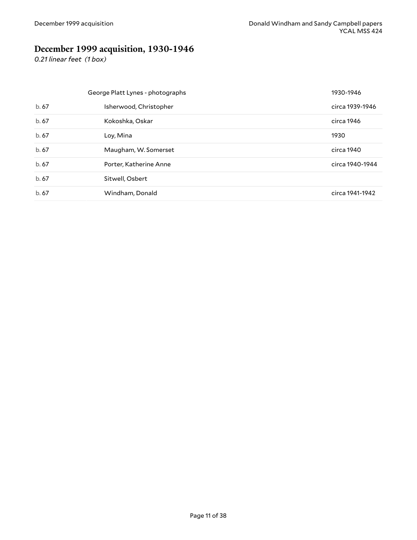# <span id="page-10-0"></span>**December 1999 acquisition, 1930-1946**

*0.21 linear feet (1 box)*

| George Platt Lynes - photographs |                        | 1930-1946       |
|----------------------------------|------------------------|-----------------|
| b.67                             | Isherwood, Christopher | circa 1939-1946 |
| b.67                             | Kokoshka, Oskar        | circa 1946      |
| b.67                             | Loy, Mina              | 1930            |
| b.67                             | Maugham, W. Somerset   | circa 1940      |
| b.67                             | Porter, Katherine Anne | circa 1940-1944 |
| b.67                             | Sitwell, Osbert        |                 |
| b.67                             | Windham, Donald        | circa 1941-1942 |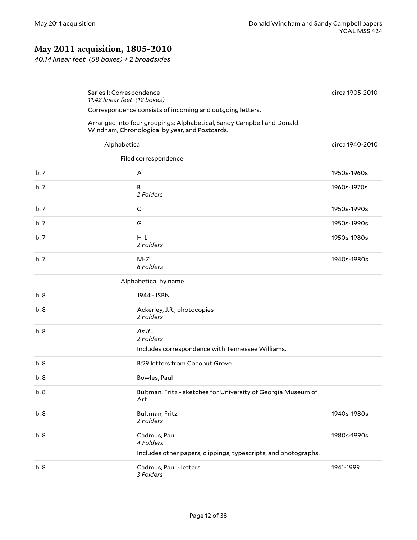# <span id="page-11-0"></span>**May 2011 acquisition, 1805-2010**

*40.14 linear feet (58 boxes) + 2 broadsides*

<span id="page-11-4"></span><span id="page-11-3"></span><span id="page-11-2"></span><span id="page-11-1"></span>

|      | Series I: Correspondence<br>11.42 linear feet (12 boxes)                                                                | circa 1905-2010 |
|------|-------------------------------------------------------------------------------------------------------------------------|-----------------|
|      | Correspondence consists of incoming and outgoing letters.                                                               |                 |
|      | Arranged into four groupings: Alphabetical, Sandy Campbell and Donald<br>Windham, Chronological by year, and Postcards. |                 |
|      | Alphabetical                                                                                                            | circa 1940-2010 |
|      | Filed correspondence                                                                                                    |                 |
| b. 7 | A                                                                                                                       | 1950s-1960s     |
| b.7  | B<br>2 Folders                                                                                                          | 1960s-1970s     |
| b.7  | C                                                                                                                       | 1950s-1990s     |
| b. 7 | G                                                                                                                       | 1950s-1990s     |
| b.7  | $H-L$<br>2 Folders                                                                                                      | 1950s-1980s     |
| b. 7 | M-Z<br>6 Folders                                                                                                        | 1940s-1980s     |
|      | Alphabetical by name                                                                                                    |                 |
| b. 8 | 1944 - ISBN                                                                                                             |                 |
| b.8  | Ackerley, J.R., photocopies<br>2 Folders                                                                                |                 |
| b.8  | As if<br>2 Folders                                                                                                      |                 |
|      | Includes correspondence with Tennessee Williams.                                                                        |                 |
| b. 8 | <b>B:29 letters from Coconut Grove</b>                                                                                  |                 |
| b.8  | Bowles, Paul                                                                                                            |                 |
| b. 8 | Bultman, Fritz - sketches for University of Georgia Museum of<br>Art                                                    |                 |
| b.8  | Bultman, Fritz<br>2 Folders                                                                                             | 1940s-1980s     |
| b.8  | Cadmus, Paul<br>4 Folders                                                                                               | 1980s-1990s     |
|      | Includes other papers, clippings, typescripts, and photographs.                                                         |                 |
| b.8  | Cadmus, Paul - letters<br>3 Folders                                                                                     | 1941-1999       |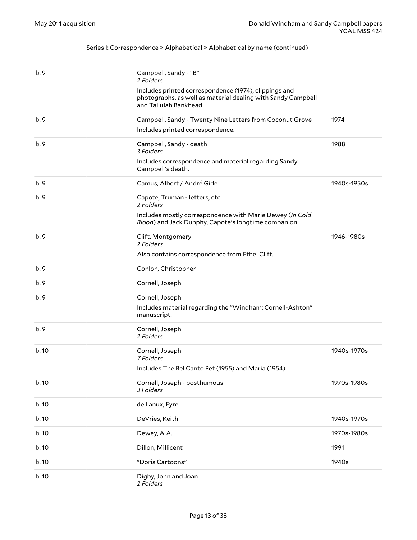| b.9   | Campbell, Sandy - "B"<br>2 Folders<br>Includes printed correspondence (1974), clippings and<br>photographs, as well as material dealing with Sandy Campbell<br>and Tallulah Bankhead. |             |
|-------|---------------------------------------------------------------------------------------------------------------------------------------------------------------------------------------|-------------|
| b.9   | Campbell, Sandy - Twenty Nine Letters from Coconut Grove                                                                                                                              | 1974        |
|       | Includes printed correspondence.                                                                                                                                                      |             |
| b.9   | Campbell, Sandy - death<br>3 Folders                                                                                                                                                  | 1988        |
|       | Includes correspondence and material regarding Sandy<br>Campbell's death.                                                                                                             |             |
| b.9   | Camus, Albert / André Gide                                                                                                                                                            | 1940s-1950s |
| b.9   | Capote, Truman - letters, etc.<br>2 Folders                                                                                                                                           |             |
|       | Includes mostly correspondence with Marie Dewey (In Cold<br>Blood) and Jack Dunphy, Capote's longtime companion.                                                                      |             |
| b.9   | Clift, Montgomery<br>2 Folders                                                                                                                                                        | 1946-1980s  |
|       | Also contains correspondence from Ethel Clift.                                                                                                                                        |             |
| b.9   | Conlon, Christopher                                                                                                                                                                   |             |
| b.9   | Cornell, Joseph                                                                                                                                                                       |             |
| b.9   | Cornell, Joseph                                                                                                                                                                       |             |
|       | Includes material regarding the "Windham: Cornell-Ashton"<br>manuscript.                                                                                                              |             |
| b.9   | Cornell, Joseph<br>2 Folders                                                                                                                                                          |             |
| b.10  | Cornell, Joseph<br>7 Folders                                                                                                                                                          | 1940s-1970s |
|       | Includes The Bel Canto Pet (1955) and Maria (1954).                                                                                                                                   |             |
| b. 10 | Cornell, Joseph - posthumous<br>3 Folders                                                                                                                                             | 1970s-1980s |
| b. 10 | de Lanux, Eyre                                                                                                                                                                        |             |
| b. 10 | DeVries, Keith                                                                                                                                                                        | 1940s-1970s |
| b. 10 | Dewey, A.A.                                                                                                                                                                           | 1970s-1980s |
| b. 10 | Dillon, Millicent                                                                                                                                                                     | 1991        |
| b. 10 | "Doris Cartoons"                                                                                                                                                                      | 1940s       |
| b. 10 | Digby, John and Joan<br>2 Folders                                                                                                                                                     |             |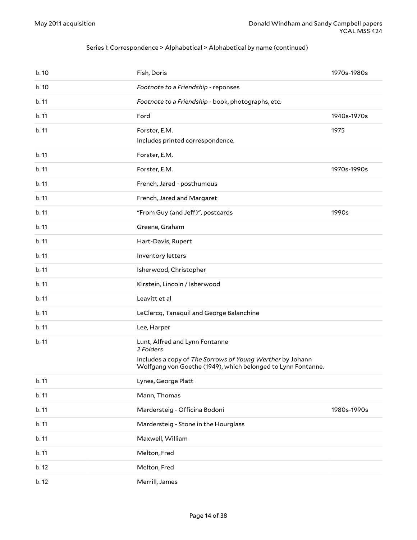| b.10  | Fish, Doris                                                                                                               | 1970s-1980s |
|-------|---------------------------------------------------------------------------------------------------------------------------|-------------|
| b. 10 | Footnote to a Friendship - reponses                                                                                       |             |
| b.11  | Footnote to a Friendship - book, photographs, etc.                                                                        |             |
| b.11  | Ford                                                                                                                      | 1940s-1970s |
| b.11  | Forster, E.M.<br>Includes printed correspondence.                                                                         | 1975        |
| b.11  | Forster, E.M.                                                                                                             |             |
| b.11  | Forster, E.M.                                                                                                             | 1970s-1990s |
| b.11  | French, Jared - posthumous                                                                                                |             |
| b.11  | French, Jared and Margaret                                                                                                |             |
| b.11  | "From Guy (and Jeff)", postcards                                                                                          | 1990s       |
| b.11  | Greene, Graham                                                                                                            |             |
| b.11  | Hart-Davis, Rupert                                                                                                        |             |
| b.11  | Inventory letters                                                                                                         |             |
| b.11  | Isherwood, Christopher                                                                                                    |             |
| b.11  | Kirstein, Lincoln / Isherwood                                                                                             |             |
| b.11  | Leavitt et al                                                                                                             |             |
| b.11  | LeClercq, Tanaquil and George Balanchine                                                                                  |             |
| b.11  | Lee, Harper                                                                                                               |             |
| b.11  | Lunt, Alfred and Lynn Fontanne<br>2 Folders                                                                               |             |
|       | Includes a copy of The Sorrows of Young Werther by Johann<br>Wolfgang von Goethe (1949), which belonged to Lynn Fontanne. |             |
| b. 11 | Lynes, George Platt                                                                                                       |             |
| b. 11 | Mann, Thomas                                                                                                              |             |
| b. 11 | Mardersteig - Officina Bodoni                                                                                             | 1980s-1990s |
| b. 11 | Mardersteig - Stone in the Hourglass                                                                                      |             |
| b. 11 | Maxwell, William                                                                                                          |             |
| b. 11 | Melton, Fred                                                                                                              |             |
| b. 12 | Melton, Fred                                                                                                              |             |
| b. 12 | Merrill, James                                                                                                            |             |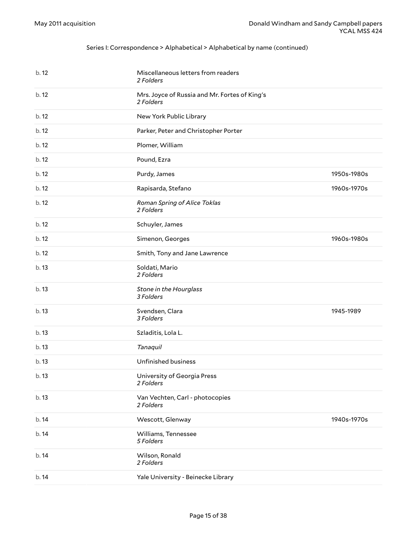| b. 12 | Miscellaneous letters from readers<br>2 Folders            |             |
|-------|------------------------------------------------------------|-------------|
| b. 12 | Mrs. Joyce of Russia and Mr. Fortes of King's<br>2 Folders |             |
| b.12  | New York Public Library                                    |             |
| b. 12 | Parker, Peter and Christopher Porter                       |             |
| b.12  | Plomer, William                                            |             |
| b. 12 | Pound, Ezra                                                |             |
| b. 12 | Purdy, James                                               | 1950s-1980s |
| b.12  | Rapisarda, Stefano                                         | 1960s-1970s |
| b.12  | Roman Spring of Alice Toklas<br>2 Folders                  |             |
| b. 12 | Schuyler, James                                            |             |
| b. 12 | Simenon, Georges                                           | 1960s-1980s |
| b. 12 | Smith, Tony and Jane Lawrence                              |             |
| b.13  | Soldati, Mario<br>2 Folders                                |             |
| b.13  | Stone in the Hourglass<br>3 Folders                        |             |
| b.13  | Svendsen, Clara<br>3 Folders                               | 1945-1989   |
| b.13  | Szladitis, Lola L.                                         |             |
| b.13  | Tanaquil                                                   |             |
| b. 13 | Unfinished business                                        |             |
| b. 13 | University of Georgia Press<br>2 Folders                   |             |
| b.13  | Van Vechten, Carl - photocopies<br>2 Folders               |             |
| b. 14 | Wescott, Glenway                                           | 1940s-1970s |
| b. 14 | Williams, Tennessee<br>5 Folders                           |             |
| b.14  | Wilson, Ronald<br>2 Folders                                |             |
| b. 14 | Yale University - Beinecke Library                         |             |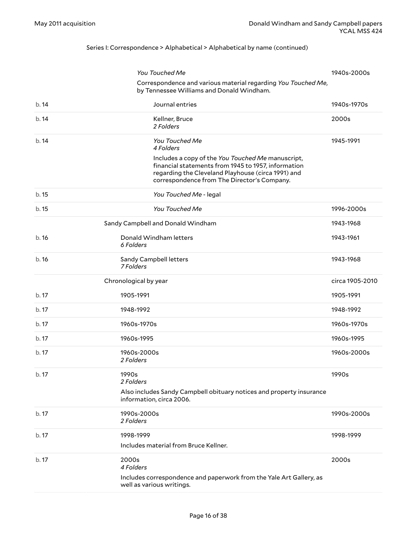<span id="page-15-1"></span><span id="page-15-0"></span>

|       | You Touched Me                                                                                                                          | 1940s-2000s     |
|-------|-----------------------------------------------------------------------------------------------------------------------------------------|-----------------|
|       | Correspondence and various material regarding You Touched Me,<br>by Tennessee Williams and Donald Windham.                              |                 |
| b.14  | Journal entries                                                                                                                         | 1940s-1970s     |
| b.14  | Kellner, Bruce<br>2 Folders                                                                                                             | 2000s           |
| b.14  | You Touched Me<br>4 Folders<br>Includes a copy of the You Touched Me manuscript,<br>financial statements from 1945 to 1957, information | 1945-1991       |
|       | regarding the Cleveland Playhouse (circa 1991) and<br>correspondence from The Director's Company.                                       |                 |
| b.15  | You Touched Me - legal                                                                                                                  |                 |
| b.15  | You Touched Me                                                                                                                          | 1996-2000s      |
|       | Sandy Campbell and Donald Windham                                                                                                       | 1943-1968       |
| b.16  | Donald Windham letters<br>6 Folders                                                                                                     | 1943-1961       |
| b.16  | Sandy Campbell letters<br>7 Folders                                                                                                     | 1943-1968       |
|       | Chronological by year                                                                                                                   | circa 1905-2010 |
| b. 17 | 1905-1991                                                                                                                               | 1905-1991       |
| b.17  | 1948-1992                                                                                                                               | 1948-1992       |
| b. 17 | 1960s-1970s                                                                                                                             | 1960s-1970s     |
| b. 17 | 1960s-1995                                                                                                                              | 1960s-1995      |
| b. 17 | 1960s-2000s<br>2 Folders                                                                                                                | 1960s-2000s     |
| b. 17 | 1990s<br>2 Folders                                                                                                                      | 1990s           |
|       | Also includes Sandy Campbell obituary notices and property insurance<br>information, circa 2006.                                        |                 |
| b. 17 | 1990s-2000s<br>2 Folders                                                                                                                | 1990s-2000s     |
| b. 17 | 1998-1999<br>Includes material from Bruce Kellner.                                                                                      | 1998-1999       |
| b. 17 | 2000s<br>4 Folders                                                                                                                      | 2000s           |
|       | Includes correspondence and paperwork from the Yale Art Gallery, as<br>well as various writings.                                        |                 |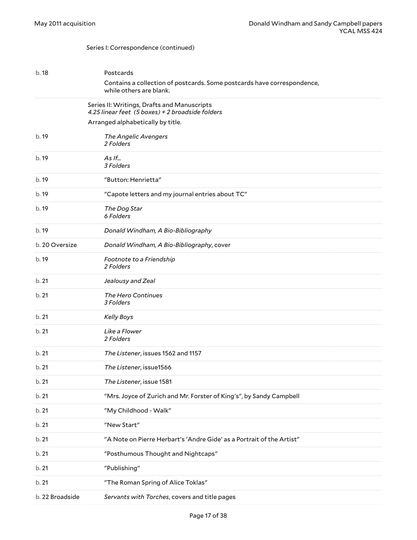#### <span id="page-16-1"></span><span id="page-16-0"></span>Series I: Correspondence (continued)

| b. 18           | Postcards                                                                                          |
|-----------------|----------------------------------------------------------------------------------------------------|
|                 | Contains a collection of postcards. Some postcards have correspondence,<br>while others are blank. |
|                 | Series II: Writings, Drafts and Manuscripts<br>4.25 linear feet (5 boxes) + 2 broadside folders    |
|                 | Arranged alphabetically by title.                                                                  |
| b. 19           | The Angelic Avengers<br>2 Folders                                                                  |
| b. 19           | $As$ If<br>3 Folders                                                                               |
| b. 19           | "Button: Henrietta"                                                                                |
| b. 19           | "Capote letters and my journal entries about TC"                                                   |
| b. 19           | The Dog Star<br>6 Folders                                                                          |
| b. 19           | Donald Windham, A Bio-Bibliography                                                                 |
| b. 20 Oversize  | Donald Windham, A Bio-Bibliography, cover                                                          |
| b. 19           | Footnote to a Friendship<br>2 Folders                                                              |
| b.21            | Jealousy and Zeal                                                                                  |
| b. 21           | The Hero Continues<br>3 Folders                                                                    |
| b.21            | <b>Kelly Boys</b>                                                                                  |
| b.21            | Like a Flower<br>2 Folders                                                                         |
| b.21            | The Listener, issues 1562 and 1157                                                                 |
| b.21            | The Listener, issue1566                                                                            |
| b.21            | The Listener, issue 1581                                                                           |
| b.21            | "Mrs. Joyce of Zurich and Mr. Forster of King's", by Sandy Campbell                                |
| b. 21           | "My Childhood - Walk"                                                                              |
| b.21            | "New Start"                                                                                        |
| b. 21           | "A Note on Pierre Herbart's 'Andre Gide' as a Portrait of the Artist"                              |
| b. 21           | "Posthumous Thought and Nightcaps"                                                                 |
| b. 21           | "Publishing"                                                                                       |
| b.21            | "The Roman Spring of Alice Toklas"                                                                 |
| b. 22 Broadside | Servants with Torches, covers and title pages                                                      |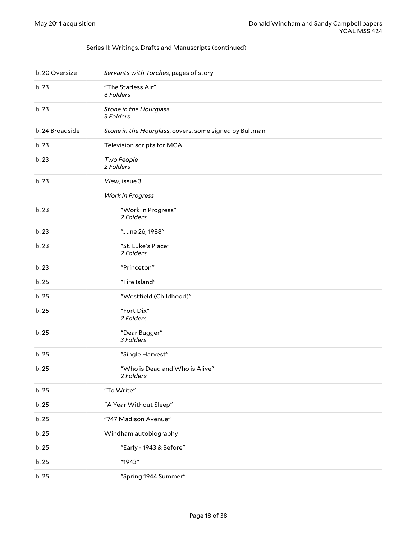#### Series II: Writings, Drafts and Manuscripts (continued)

| b. 20 Oversize  | Servants with Torches, pages of story                  |
|-----------------|--------------------------------------------------------|
| b. 23           | "The Starless Air"<br>6 Folders                        |
| b. 23           | Stone in the Hourglass<br>3 Folders                    |
| b. 24 Broadside | Stone in the Hourglass, covers, some signed by Bultman |
| b. 23           | Television scripts for MCA                             |
| b. 23           | Two People<br>2 Folders                                |
| b. 23           | View, issue 3                                          |
|                 | <b>Work in Progress</b>                                |
| b. 23           | "Work in Progress"<br>2 Folders                        |
| b. 23           | "June 26, 1988"                                        |
| b.23            | "St. Luke's Place"<br>2 Folders                        |
| b. 23           | "Princeton"                                            |
| b. 25           | "Fire Island"                                          |
| b. 25           | "Westfield (Childhood)"                                |
| b. 25           | "Fort Dix"<br>2 Folders                                |
| b. 25           | "Dear Bugger"<br>3 Folders                             |
| b. 25           | "Single Harvest"                                       |
| b. 25           | "Who is Dead and Who is Alive"<br>2 Folders            |
| b. 25           | "To Write"                                             |
| b. 25           | "A Year Without Sleep"                                 |
| b. 25           | "747 Madison Avenue"                                   |
| b. 25           | Windham autobiography                                  |
| b. 25           | "Early - 1943 & Before"                                |
| b. 25           | "1943"                                                 |
| b. 25           | "Spring 1944 Summer"                                   |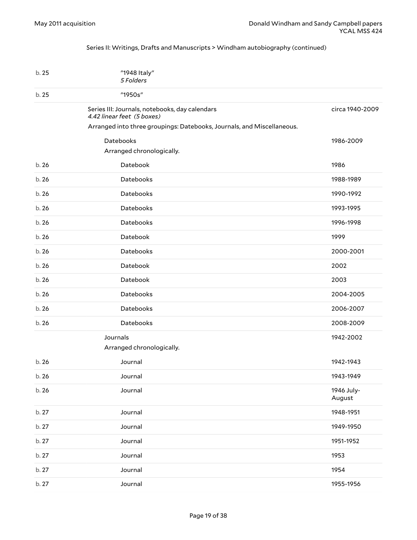#### <span id="page-18-0"></span>Series II: Writings, Drafts and Manuscripts > Windham autobiography (continued)

<span id="page-18-2"></span><span id="page-18-1"></span>

| b. 25 | "1948 Italy"<br>5 Folders                                                                                                                              |                      |
|-------|--------------------------------------------------------------------------------------------------------------------------------------------------------|----------------------|
| b. 25 | "1950s"                                                                                                                                                |                      |
|       | Series III: Journals, notebooks, day calendars<br>4.42 linear feet (5 boxes)<br>Arranged into three groupings: Datebooks, Journals, and Miscellaneous. | circa 1940-2009      |
|       | <b>Datebooks</b>                                                                                                                                       | 1986-2009            |
|       | Arranged chronologically.                                                                                                                              |                      |
| b.26  | Datebook                                                                                                                                               | 1986                 |
| b.26  | Datebooks                                                                                                                                              | 1988-1989            |
| b.26  | Datebooks                                                                                                                                              | 1990-1992            |
| b.26  | Datebooks                                                                                                                                              | 1993-1995            |
| b.26  | Datebooks                                                                                                                                              | 1996-1998            |
| b.26  | Datebook                                                                                                                                               | 1999                 |
| b.26  | Datebooks                                                                                                                                              | 2000-2001            |
| b. 26 | Datebook                                                                                                                                               | 2002                 |
| b.26  | Datebook                                                                                                                                               | 2003                 |
| b.26  | Datebooks                                                                                                                                              | 2004-2005            |
| b.26  | Datebooks                                                                                                                                              | 2006-2007            |
| b.26  | Datebooks                                                                                                                                              | 2008-2009            |
|       | Journals<br>Arranged chronologically.                                                                                                                  | 1942-2002            |
| b.26  | Journal                                                                                                                                                | 1942-1943            |
| b. 26 | Journal                                                                                                                                                | 1943-1949            |
| b. 26 | Journal                                                                                                                                                | 1946 July-<br>August |
| b. 27 | Journal                                                                                                                                                | 1948-1951            |
| b. 27 | Journal                                                                                                                                                | 1949-1950            |
| b. 27 | Journal                                                                                                                                                | 1951-1952            |
| b. 27 | Journal                                                                                                                                                | 1953                 |
| b. 27 | Journal                                                                                                                                                | 1954                 |
| b. 27 | Journal                                                                                                                                                | 1955-1956            |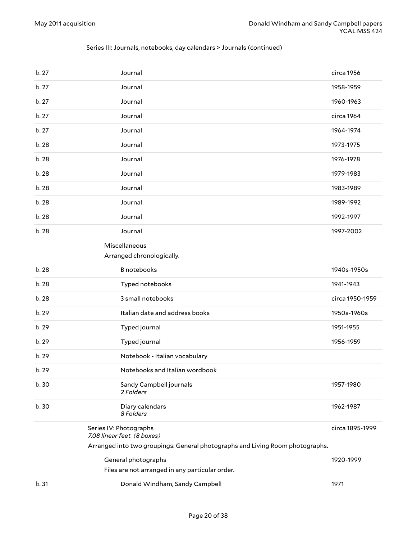#### Series III: Journals, notebooks, day calendars > Journals (continued)

<span id="page-19-2"></span><span id="page-19-1"></span><span id="page-19-0"></span>

| b. 27 | Journal                                                                       | circa 1956      |
|-------|-------------------------------------------------------------------------------|-----------------|
| b. 27 | Journal                                                                       | 1958-1959       |
| b.27  | Journal                                                                       | 1960-1963       |
| b. 27 | Journal                                                                       | circa 1964      |
| b.27  | Journal                                                                       | 1964-1974       |
| b. 28 | Journal                                                                       | 1973-1975       |
| b. 28 | Journal                                                                       | 1976-1978       |
| b. 28 | Journal                                                                       | 1979-1983       |
| b. 28 | Journal                                                                       | 1983-1989       |
| b. 28 | Journal                                                                       | 1989-1992       |
| b. 28 | Journal                                                                       | 1992-1997       |
| b. 28 | Journal                                                                       | 1997-2002       |
|       | Miscellaneous<br>Arranged chronologically.                                    |                 |
| b. 28 | <b>B</b> notebooks                                                            | 1940s-1950s     |
| b. 28 | Typed notebooks                                                               | 1941-1943       |
|       |                                                                               |                 |
| b. 28 | 3 small notebooks                                                             | circa 1950-1959 |
| b. 29 | Italian date and address books                                                | 1950s-1960s     |
| b. 29 | Typed journal                                                                 | 1951-1955       |
| b. 29 | Typed journal                                                                 | 1956-1959       |
| b. 29 | Notebook - Italian vocabulary                                                 |                 |
| b. 29 | Notebooks and Italian wordbook                                                |                 |
| b. 30 | Sandy Campbell journals<br>2 Folders                                          | 1957-1980       |
| b. 30 | Diary calendars<br>8 Folders                                                  | 1962-1987       |
|       | Series IV: Photographs<br>7.08 linear feet (8 boxes)                          | circa 1895-1999 |
|       | Arranged into two groupings: General photographs and Living Room photographs. |                 |
|       | General photographs                                                           | 1920-1999       |
|       | Files are not arranged in any particular order.                               |                 |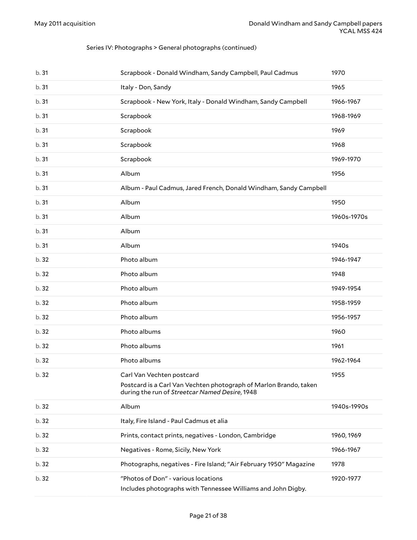| b.31  | Scrapbook - Donald Windham, Sandy Campbell, Paul Cadmus                                                                                          | 1970        |
|-------|--------------------------------------------------------------------------------------------------------------------------------------------------|-------------|
| b. 31 | Italy - Don, Sandy                                                                                                                               | 1965        |
| b.31  | Scrapbook - New York, Italy - Donald Windham, Sandy Campbell                                                                                     | 1966-1967   |
| b.31  | Scrapbook                                                                                                                                        | 1968-1969   |
| b.31  | Scrapbook                                                                                                                                        | 1969        |
| b.31  | Scrapbook                                                                                                                                        | 1968        |
| b.31  | Scrapbook                                                                                                                                        | 1969-1970   |
| b.31  | Album                                                                                                                                            | 1956        |
| b.31  | Album - Paul Cadmus, Jared French, Donald Windham, Sandy Campbell                                                                                |             |
| b.31  | Album                                                                                                                                            | 1950        |
| b.31  | Album                                                                                                                                            | 1960s-1970s |
| b.31  | Album                                                                                                                                            |             |
| b.31  | Album                                                                                                                                            | 1940s       |
| b. 32 | Photo album                                                                                                                                      | 1946-1947   |
| b. 32 | Photo album                                                                                                                                      | 1948        |
| b. 32 | Photo album                                                                                                                                      | 1949-1954   |
| b. 32 | Photo album                                                                                                                                      | 1958-1959   |
| b. 32 | Photo album                                                                                                                                      | 1956-1957   |
| b. 32 | Photo albums                                                                                                                                     | 1960        |
| b. 32 | Photo albums                                                                                                                                     | 1961        |
| b. 32 | Photo albums                                                                                                                                     | 1962-1964   |
| b. 32 | Carl Van Vechten postcard<br>Postcard is a Carl Van Vechten photograph of Marlon Brando, taken<br>during the run of Streetcar Named Desire, 1948 | 1955        |
| b.32  | Album                                                                                                                                            | 1940s-1990s |
| b. 32 | Italy, Fire Island - Paul Cadmus et alia                                                                                                         |             |
| b. 32 | Prints, contact prints, negatives - London, Cambridge                                                                                            | 1960, 1969  |
| b.32  | Negatives - Rome, Sicily, New York                                                                                                               | 1966-1967   |
| b.32  | Photographs, negatives - Fire Island; "Air February 1950" Magazine                                                                               | 1978        |
| b.32  | "Photos of Don" - various locations<br>Includes photographs with Tennessee Williams and John Digby.                                              | 1920-1977   |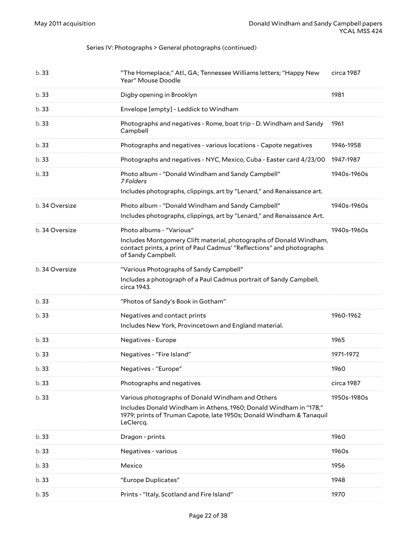| b.33           | "The Homeplace," Atl., GA; Tennessee Williams letters; "Happy New<br>Year" Mouse Doodle                                                                           | circa 1987  |
|----------------|-------------------------------------------------------------------------------------------------------------------------------------------------------------------|-------------|
| b.33           | Digby opening in Brooklyn                                                                                                                                         | 1981        |
| b.33           | Envelope [empty] - Leddick to Windham                                                                                                                             |             |
| b.33           | Photographs and negatives - Rome, boat trip - D. Windham and Sandy<br>Campbell                                                                                    | 1961        |
| b.33           | Photographs and negatives - various locations - Capote negatives                                                                                                  | 1946-1958   |
| b.33           | Photographs and negatives - NYC, Mexico, Cuba - Easter card 4/23/00                                                                                               | 1947-1987   |
| b.33           | Photo album - "Donald Windham and Sandy Campbell"<br>7 Folders                                                                                                    | 1940s-1960s |
|                | Includes photographs, clippings, art by "Lenard," and Renaissance art.                                                                                            |             |
| b. 34 Oversize | Photo album - "Donald Windham and Sandy Campbell"<br>Includes photographs, clippings, art by "Lenard," and Renaissance Art.                                       | 1940s-1960s |
| b. 34 Oversize | Photo albums - "Various"                                                                                                                                          | 1940s-1960s |
|                | Includes Montgomery Clift material, photographs of Donald Windham,<br>contact prints, a print of Paul Cadmus' "Reflections" and photographs<br>of Sandy Campbell. |             |
| b. 34 Oversize | "Various Photographs of Sandy Campbell"<br>Includes a photograph of a Paul Cadmus portrait of Sandy Campbell,                                                     |             |
|                | circa 1943.                                                                                                                                                       |             |
| b.33           | "Photos of Sandy's Book in Gotham"                                                                                                                                |             |
| b.33           | Negatives and contact prints<br>Includes New York, Provincetown and England material.                                                                             | 1960-1962   |
| b.33           | Negatives - Europe                                                                                                                                                | 1965        |
| b.33           | Negatives - "Fire Island"                                                                                                                                         | 1971-1972   |
| b.33           | Negatives - "Europe"                                                                                                                                              | 1960        |
| b.33           | Photographs and negatives                                                                                                                                         | circa 1987  |
| b. 33          | Various photographs of Donald Windham and Others                                                                                                                  | 1950s-1980s |
|                | Includes Donald Windham in Athens, 1960; Donald Windham in "17B,"<br>1979; prints of Truman Capote, late 1950s; Donald Windham & Tanaquil<br>LeClercq.            |             |
| b.33           | Dragon - prints                                                                                                                                                   | 1960        |
| b.33           | Negatives - various                                                                                                                                               | 1960s       |
| b.33           | Mexico                                                                                                                                                            | 1956        |
| b.33           | "Europe Duplicates"                                                                                                                                               | 1948        |
| b. 35          | Prints - "Italy, Scotland and Fire Island"                                                                                                                        | 1970        |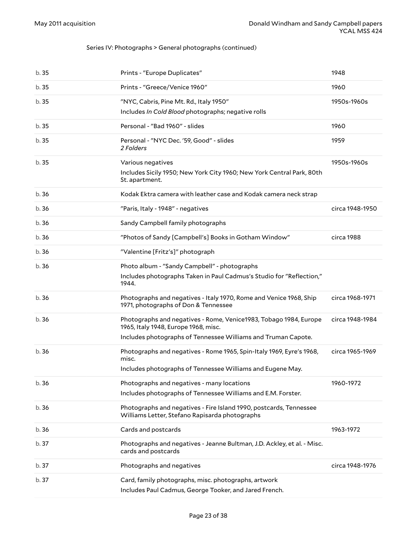| b.35  | Prints - "Europe Duplicates"                                                                                         | 1948            |
|-------|----------------------------------------------------------------------------------------------------------------------|-----------------|
| b.35  | Prints - "Greece/Venice 1960"                                                                                        | 1960            |
| b.35  | "NYC, Cabris, Pine Mt. Rd., Italy 1950"                                                                              | 1950s-1960s     |
|       | Includes In Cold Blood photographs; negative rolls                                                                   |                 |
| b.35  | Personal - "Bad 1960" - slides                                                                                       | 1960            |
| b.35  | Personal - "NYC Dec. '59, Good" - slides<br>2 Folders                                                                | 1959            |
| b.35  | Various negatives<br>Includes Sicily 1950; New York City 1960; New York Central Park, 80th                           | 1950s-1960s     |
|       | St. apartment.                                                                                                       |                 |
| b.36  | Kodak Ektra camera with leather case and Kodak camera neck strap                                                     |                 |
| b.36  | "Paris, Italy - 1948" - negatives                                                                                    | circa 1948-1950 |
| b.36  | Sandy Campbell family photographs                                                                                    |                 |
| b.36  | "Photos of Sandy [Campbell's] Books in Gotham Window"                                                                | circa 1988      |
| b.36  | "Valentine [Fritz's]" photograph                                                                                     |                 |
| b.36  | Photo album - "Sandy Campbell" - photographs                                                                         |                 |
|       | Includes photographs Taken in Paul Cadmus's Studio for "Reflection,"<br>1944.                                        |                 |
| b.36  | Photographs and negatives - Italy 1970, Rome and Venice 1968, Ship<br>1971, photographs of Don & Tennessee           | circa 1968-1971 |
| b.36  | Photographs and negatives - Rome, Venice1983, Tobago 1984, Europe<br>1965, Italy 1948, Europe 1968, misc.            | circa 1948-1984 |
|       | Includes photographs of Tennessee Williams and Truman Capote.                                                        |                 |
| b.36  | Photographs and negatives - Rome 1965, Spin-Italy 1969, Eyre's 1968,<br>misc.                                        | circa 1965-1969 |
|       | Includes photographs of Tennessee Williams and Eugene May.                                                           |                 |
| b.36  | Photographs and negatives - many locations                                                                           | 1960-1972       |
|       | Includes photographs of Tennessee Williams and E.M. Forster.                                                         |                 |
| b.36  | Photographs and negatives - Fire Island 1990, postcards, Tennessee<br>Williams Letter, Stefano Rapisarda photographs |                 |
| b.36  | Cards and postcards                                                                                                  | 1963-1972       |
| b. 37 | Photographs and negatives - Jeanne Bultman, J.D. Ackley, et al. - Misc.<br>cards and postcards                       |                 |
| b. 37 | Photographs and negatives                                                                                            | circa 1948-1976 |
| b.37  | Card, family photographs, misc. photographs, artwork<br>Includes Paul Cadmus, George Tooker, and Jared French.       |                 |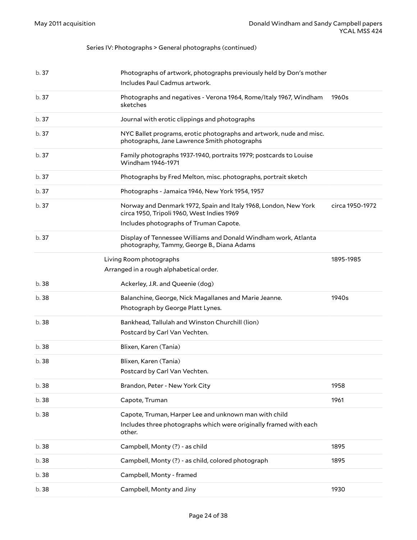<span id="page-23-0"></span>

| b.37  | Photographs of artwork, photographs previously held by Don's mother<br>Includes Paul Cadmus artwork.                                                    |                 |
|-------|---------------------------------------------------------------------------------------------------------------------------------------------------------|-----------------|
| b.37  | Photographs and negatives - Verona 1964, Rome/Italy 1967, Windham<br>sketches                                                                           | 1960s           |
| b.37  | Journal with erotic clippings and photographs                                                                                                           |                 |
| b.37  | NYC Ballet programs, erotic photographs and artwork, nude and misc.<br>photographs, Jane Lawrence Smith photographs                                     |                 |
| b.37  | Family photographs 1937-1940, portraits 1979; postcards to Louise<br>Windham 1946-1971                                                                  |                 |
| b.37  | Photographs by Fred Melton, misc. photographs, portrait sketch                                                                                          |                 |
| b.37  | Photographs - Jamaica 1946, New York 1954, 1957                                                                                                         |                 |
| b.37  | Norway and Denmark 1972, Spain and Italy 1968, London, New York<br>circa 1950, Tripoli 1960, West Indies 1969<br>Includes photographs of Truman Capote. | circa 1950-1972 |
| b. 37 | Display of Tennessee Williams and Donald Windham work, Atlanta<br>photography, Tammy, George B., Diana Adams                                            |                 |
|       | Living Room photographs<br>Arranged in a rough alphabetical order.                                                                                      | 1895-1985       |
| b. 38 | Ackerley, J.R. and Queenie (dog)                                                                                                                        |                 |
| b. 38 | Balanchine, George, Nick Magallanes and Marie Jeanne.<br>Photograph by George Platt Lynes.                                                              | 1940s           |
| b. 38 | Bankhead, Tallulah and Winston Churchill (lion)<br>Postcard by Carl Van Vechten.                                                                        |                 |
| b. 38 | Blixen, Karen (Tania)                                                                                                                                   |                 |
| b. 38 | Blixen, Karen (Tania)<br>Postcard by Carl Van Vechten.                                                                                                  |                 |
| b. 38 | Brandon, Peter - New York City                                                                                                                          | 1958            |
| b. 38 | Capote, Truman                                                                                                                                          | 1961            |
| b. 38 | Capote, Truman, Harper Lee and unknown man with child<br>Includes three photographs which were originally framed with each<br>other.                    |                 |
| b. 38 | Campbell, Monty (?) - as child                                                                                                                          | 1895            |
| b. 38 | Campbell, Monty (?) - as child, colored photograph                                                                                                      | 1895            |
| b. 38 | Campbell, Monty - framed                                                                                                                                |                 |
| b. 38 | Campbell, Monty and Jiny                                                                                                                                | 1930            |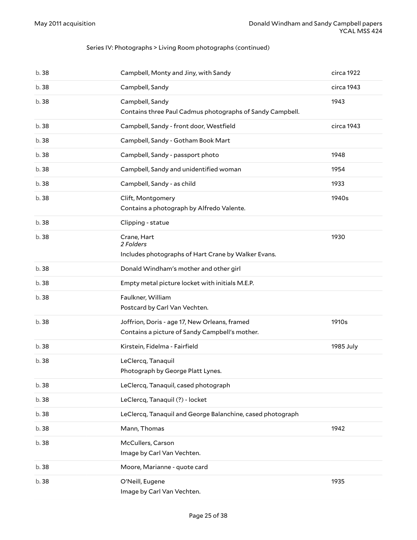#### Series IV: Photographs > Living Room photographs (continued)

| b.38  | Campbell, Monty and Jiny, with Sandy                                                            | circa 1922 |
|-------|-------------------------------------------------------------------------------------------------|------------|
| b. 38 | Campbell, Sandy                                                                                 | circa 1943 |
| b. 38 | Campbell, Sandy<br>Contains three Paul Cadmus photographs of Sandy Campbell.                    | 1943       |
| b. 38 | Campbell, Sandy - front door, Westfield                                                         | circa 1943 |
| b. 38 | Campbell, Sandy - Gotham Book Mart                                                              |            |
| b. 38 | Campbell, Sandy - passport photo                                                                | 1948       |
| b. 38 | Campbell, Sandy and unidentified woman                                                          | 1954       |
| b. 38 | Campbell, Sandy - as child                                                                      | 1933       |
| b. 38 | Clift, Montgomery<br>Contains a photograph by Alfredo Valente.                                  | 1940s      |
| b.38  | Clipping - statue                                                                               |            |
| b. 38 | Crane, Hart<br>2 Folders                                                                        | 1930       |
|       | Includes photographs of Hart Crane by Walker Evans.                                             |            |
| b. 38 | Donald Windham's mother and other girl                                                          |            |
| b. 38 | Empty metal picture locket with initials M.E.P.                                                 |            |
| b. 38 | Faulkner, William<br>Postcard by Carl Van Vechten.                                              |            |
| b. 38 | Joffrion, Doris - age 17, New Orleans, framed<br>Contains a picture of Sandy Campbell's mother. | 1910s      |
| b. 38 | Kirstein, Fidelma - Fairfield                                                                   | 1985 July  |
| b.38  | LeClercq, Tanaquil<br>Photograph by George Platt Lynes.                                         |            |
| b. 38 | LeClercq, Tanaquil, cased photograph                                                            |            |
| b. 38 | LeClercq, Tanaquil (?) - locket                                                                 |            |
| b. 38 | LeClercq, Tanaquil and George Balanchine, cased photograph                                      |            |
| b. 38 | Mann, Thomas                                                                                    | 1942       |
| b. 38 | McCullers, Carson<br>Image by Carl Van Vechten.                                                 |            |
| b. 38 | Moore, Marianne - quote card                                                                    |            |
| b.38  | O'Neill, Eugene<br>Image by Carl Van Vechten.                                                   | 1935       |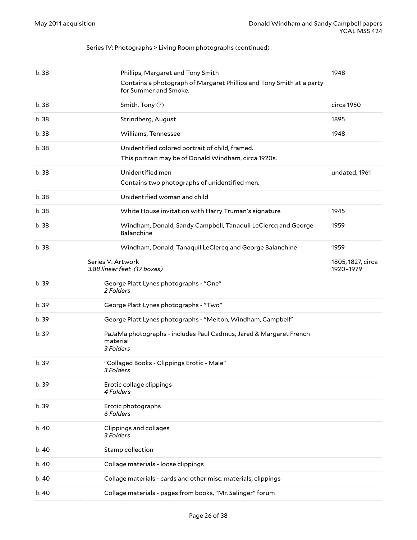#### Series IV: Photographs > Living Room photographs (continued)

<span id="page-25-0"></span>

| b. 38 | Phillips, Margaret and Tony Smith<br>Contains a photograph of Margaret Phillips and Tony Smith at a party<br>for Summer and Smoke. | 1948                           |
|-------|------------------------------------------------------------------------------------------------------------------------------------|--------------------------------|
| b.38  | Smith, Tony (?)                                                                                                                    | circa 1950                     |
| b.38  | Strindberg, August                                                                                                                 | 1895                           |
| b.38  | Williams, Tennessee                                                                                                                | 1948                           |
| b. 38 | Unidentified colored portrait of child, framed.<br>This portrait may be of Donald Windham, circa 1920s.                            |                                |
| b. 38 | Unidentified men<br>Contains two photographs of unidentified men.                                                                  | undated, 1961                  |
| b.38  | Unidentified woman and child                                                                                                       |                                |
| b. 38 | White House invitation with Harry Truman's signature                                                                               | 1945                           |
| b. 38 | Windham, Donald, Sandy Campbell, Tanaquil LeClercq and George<br>Balanchine                                                        | 1959                           |
| b.38  | Windham, Donald, Tanaquil LeClercq and George Balanchine                                                                           | 1959                           |
|       | Series V: Artwork<br>3.88 linear feet (17 boxes)                                                                                   | 1805, 1827, circa<br>1920-1979 |
| b.39  | George Platt Lynes photographs - "One"<br>2 Folders                                                                                |                                |
| b. 39 | George Platt Lynes photographs - "Two"                                                                                             |                                |
| b. 39 | George Platt Lynes photographs - "Melton, Windham, Campbell"                                                                       |                                |
| b. 39 | PaJaMa photographs - includes Paul Cadmus, Jared & Margaret French<br>material<br>3 Folders                                        |                                |
| b. 39 | "Collaged Books - Clippings Erotic - Male"<br>3 Folders                                                                            |                                |
| b. 39 | Erotic collage clippings<br>4 Folders                                                                                              |                                |
| b.39  | Erotic photographs<br>6 Folders                                                                                                    |                                |
| b.40  | Clippings and collages<br>3 Folders                                                                                                |                                |
| b. 40 | Stamp collection                                                                                                                   |                                |
| b. 40 | Collage materials - loose clippings                                                                                                |                                |
| b.40  | Collage materials - cards and other misc. materials, clippings                                                                     |                                |
| b.40  | Collage materials - pages from books, "Mr. Salinger" forum                                                                         |                                |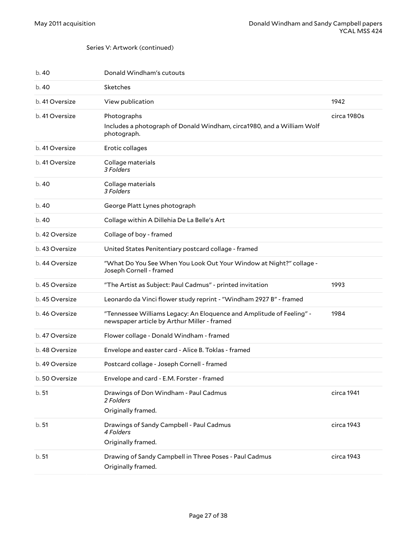#### Series V: Artwork (continued)

| b.40           | Donald Windham's cutouts                                                                                            |             |
|----------------|---------------------------------------------------------------------------------------------------------------------|-------------|
| b. 40          | Sketches                                                                                                            |             |
| b. 41 Oversize | View publication                                                                                                    | 1942        |
| b. 41 Oversize | Photographs                                                                                                         | circa 1980s |
|                | Includes a photograph of Donald Windham, circa1980, and a William Wolf<br>photograph.                               |             |
| b. 41 Oversize | Erotic collages                                                                                                     |             |
| b. 41 Oversize | Collage materials<br>3 Folders                                                                                      |             |
| b. 40          | Collage materials<br>3 Folders                                                                                      |             |
| b. 40          | George Platt Lynes photograph                                                                                       |             |
| b.40           | Collage within A Dillehia De La Belle's Art                                                                         |             |
| b. 42 Oversize | Collage of boy - framed                                                                                             |             |
| b. 43 Oversize | United States Penitentiary postcard collage - framed                                                                |             |
| b. 44 Oversize | "What Do You See When You Look Out Your Window at Night?" collage -<br>Joseph Cornell - framed                      |             |
| b. 45 Oversize | "The Artist as Subject: Paul Cadmus" - printed invitation                                                           | 1993        |
| b. 45 Oversize | Leonardo da Vinci flower study reprint - "Windham 2927 B" - framed                                                  |             |
| b. 46 Oversize | "Tennessee Williams Legacy: An Eloquence and Amplitude of Feeling" -<br>newspaper article by Arthur Miller - framed | 1984        |
| b. 47 Oversize | Flower collage - Donald Windham - framed                                                                            |             |
| b. 48 Oversize | Envelope and easter card - Alice B. Toklas - framed                                                                 |             |
| b. 49 Oversize | Postcard collage - Joseph Cornell - framed                                                                          |             |
| b. 50 Oversize | Envelope and card - E.M. Forster - framed                                                                           |             |
| b.51           | Drawings of Don Windham - Paul Cadmus<br>2 Folders                                                                  | circa 1941  |
|                | Originally framed.                                                                                                  |             |
| b.51           | Drawings of Sandy Campbell - Paul Cadmus<br>4 Folders<br>Originally framed.                                         | circa 1943  |
| b.51           | Drawing of Sandy Campbell in Three Poses - Paul Cadmus<br>Originally framed.                                        | circa 1943  |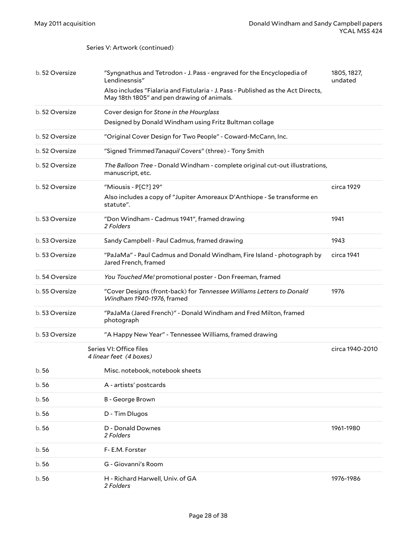#### Series V: Artwork (continued)

<span id="page-27-0"></span>

| b. 52 Oversize | "Syngnathus and Tetrodon - J. Pass - engraved for the Encyclopedia of<br>Lendinesnsis"<br>Also includes "Fialaria and Fistularia - J. Pass - Published as the Act Directs,<br>May 18th 1805" and pen drawing of animals. | 1805, 1827,<br>undated |
|----------------|--------------------------------------------------------------------------------------------------------------------------------------------------------------------------------------------------------------------------|------------------------|
| b. 52 Oversize | Cover design for Stone in the Hourglass<br>Designed by Donald Windham using Fritz Bultman collage                                                                                                                        |                        |
| b. 52 Oversize | "Original Cover Design for Two People" - Coward-McCann, Inc.                                                                                                                                                             |                        |
| b. 52 Oversize | "Signed Trimmed Tanaquil Covers" (three) - Tony Smith                                                                                                                                                                    |                        |
| b. 52 Oversize | The Balloon Tree - Donald Windham - complete original cut-out illustrations,<br>manuscript, etc.                                                                                                                         |                        |
| b. 52 Oversize | "Miousis - P[C?] 29"                                                                                                                                                                                                     | circa 1929             |
|                | Also includes a copy of "Jupiter Amoreaux D'Anthiope - Se transforme en<br>statute".                                                                                                                                     |                        |
| b. 53 Oversize | "Don Windham - Cadmus 1941", framed drawing<br>2 Folders                                                                                                                                                                 | 1941                   |
| b. 53 Oversize | Sandy Campbell - Paul Cadmus, framed drawing                                                                                                                                                                             | 1943                   |
| b. 53 Oversize | "PaJaMa" - Paul Cadmus and Donald Windham, Fire Island - photograph by<br>Jared French, framed                                                                                                                           | circa 1941             |
| b. 54 Oversize | You Touched Me! promotional poster - Don Freeman, framed                                                                                                                                                                 |                        |
| b. 55 Oversize | "Cover Designs (front-back) for Tennessee Williams Letters to Donald<br>Windham 1940-1976, framed                                                                                                                        | 1976                   |
| b. 53 Oversize | "PaJaMa (Jared French)" - Donald Windham and Fred Milton, framed<br>photograph                                                                                                                                           |                        |
| b. 53 Oversize | "A Happy New Year" - Tennessee Williams, framed drawing                                                                                                                                                                  |                        |
|                | Series VI: Office files<br>4 linear feet (4 boxes)                                                                                                                                                                       | circa 1940-2010        |
| b.56           | Misc. notebook, notebook sheets                                                                                                                                                                                          |                        |
| b.56           | A - artists' postcards                                                                                                                                                                                                   |                        |
| b.56           | B - George Brown                                                                                                                                                                                                         |                        |
| b.56           | D - Tim Dlugos                                                                                                                                                                                                           |                        |
| b.56           | D - Donald Downes<br>2 Folders                                                                                                                                                                                           | 1961-1980              |
| b. 56          | F- E.M. Forster                                                                                                                                                                                                          |                        |
| b.56           | G - Giovanni's Room                                                                                                                                                                                                      |                        |
| b. 56          | H - Richard Harwell, Univ. of GA<br>2 Folders                                                                                                                                                                            | 1976-1986              |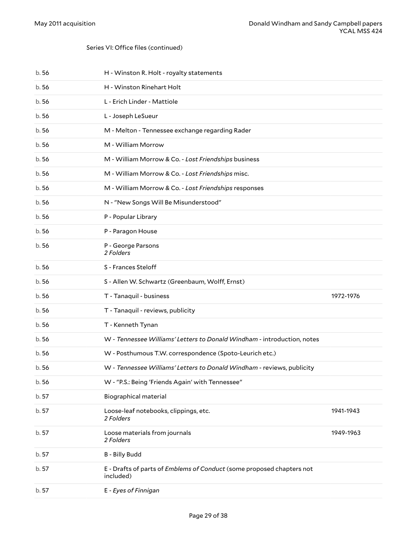| b.56  | H - Winston R. Holt - royalty statements                                           |           |
|-------|------------------------------------------------------------------------------------|-----------|
| b.56  | H - Winston Rinehart Holt                                                          |           |
| b.56  | L - Erich Linder - Mattiole                                                        |           |
| b.56  | L - Joseph LeSueur                                                                 |           |
| b.56  | M - Melton - Tennessee exchange regarding Rader                                    |           |
| b.56  | M - William Morrow                                                                 |           |
| b.56  | M - William Morrow & Co. - Lost Friendships business                               |           |
| b.56  | M - William Morrow & Co. - Lost Friendships misc.                                  |           |
| b.56  | M - William Morrow & Co. - Lost Friendships responses                              |           |
| b.56  | N - "New Songs Will Be Misunderstood"                                              |           |
| b.56  | P - Popular Library                                                                |           |
| b.56  | P - Paragon House                                                                  |           |
| b.56  | P - George Parsons<br>2 Folders                                                    |           |
| b.56  | S - Frances Steloff                                                                |           |
| b.56  | S - Allen W. Schwartz (Greenbaum, Wolff, Ernst)                                    |           |
| b.56  | T - Tanaquil - business                                                            | 1972-1976 |
| b.56  | T - Tanaquil - reviews, publicity                                                  |           |
| b.56  | T - Kenneth Tynan                                                                  |           |
| b.56  | W - Tennessee Williams' Letters to Donald Windham - introduction, notes            |           |
| b.56  | W - Posthumous T.W. correspondence (Spoto-Leurich etc.)                            |           |
| b.56  | W - Tennessee Williams' Letters to Donald Windham - reviews, publicity             |           |
| b. 56 | W - "P.S.: Being 'Friends Again' with Tennessee"                                   |           |
| b. 57 | Biographical material                                                              |           |
| b. 57 | Loose-leaf notebooks, clippings, etc.<br>2 Folders                                 | 1941-1943 |
| b. 57 | Loose materials from journals<br>2 Folders                                         | 1949-1963 |
| b. 57 | <b>B</b> - Billy Budd                                                              |           |
| b. 57 | E - Drafts of parts of Emblems of Conduct (some proposed chapters not<br>included) |           |
| b. 57 | E - Eyes of Finnigan                                                               |           |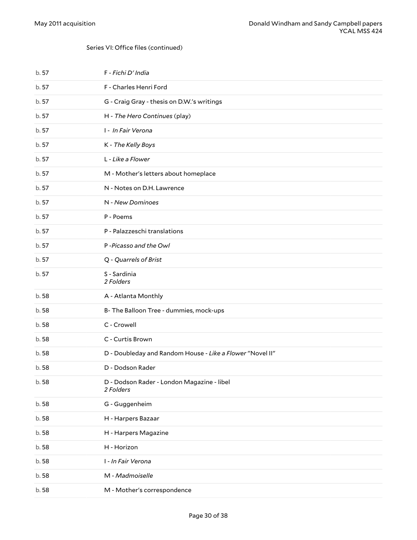| b. 57 | F - Fichi D' India                                        |
|-------|-----------------------------------------------------------|
| b. 57 | F - Charles Henri Ford                                    |
| b. 57 | G - Craig Gray - thesis on D.W.'s writings                |
| b. 57 | H - The Hero Continues (play)                             |
| b. 57 | I - In Fair Verona                                        |
| b. 57 | K - The Kelly Boys                                        |
| b. 57 | L - Like a Flower                                         |
| b. 57 | M - Mother's letters about homeplace                      |
| b. 57 | N - Notes on D.H. Lawrence                                |
| b. 57 | N - New Dominoes                                          |
| b. 57 | P - Poems                                                 |
| b. 57 | P - Palazzeschi translations                              |
| b. 57 | P-Picasso and the Owl                                     |
| b. 57 | Q - Quarrels of Brist                                     |
| b. 57 | S - Sardinia<br>2 Folders                                 |
| b.58  | A - Atlanta Monthly                                       |
| b.58  | B- The Balloon Tree - dummies, mock-ups                   |
| b.58  | C - Crowell                                               |
| b.58  | C - Curtis Brown                                          |
| b.58  | D - Doubleday and Random House - Like a Flower "Novel II" |
| b.58  | D - Dodson Rader                                          |
| b.58  | D - Dodson Rader - London Magazine - libel<br>2 Folders   |
| b.58  | G - Guggenheim                                            |
| b.58  | H - Harpers Bazaar                                        |
| b.58  | H - Harpers Magazine                                      |
| b.58  | H - Horizon                                               |
| b.58  | I - In Fair Verona                                        |
| b.58  | M - Madmoiselle                                           |
| b.58  | M - Mother's correspondence                               |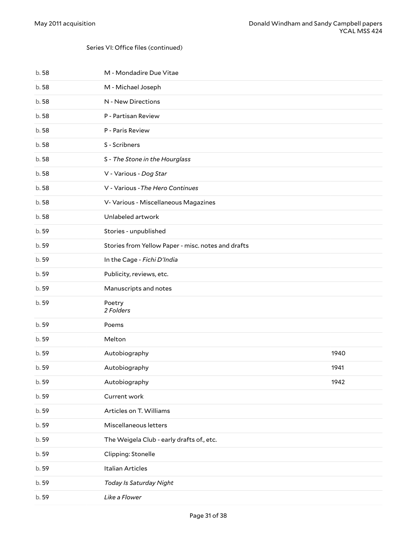| b.58  | M - Mondadire Due Vitae                            |      |
|-------|----------------------------------------------------|------|
| b.58  | M - Michael Joseph                                 |      |
| b.58  | N - New Directions                                 |      |
| b.58  | P - Partisan Review                                |      |
| b.58  | P - Paris Review                                   |      |
| b.58  | S - Scribners                                      |      |
| b.58  | S - The Stone in the Hourglass                     |      |
| b.58  | V - Various - Dog Star                             |      |
| b.58  | V - Various - The Hero Continues                   |      |
| b.58  | V- Various - Miscellaneous Magazines               |      |
| b.58  | Unlabeled artwork                                  |      |
| b. 59 | Stories - unpublished                              |      |
| b.59  | Stories from Yellow Paper - misc. notes and drafts |      |
| b. 59 | In the Cage - Fichi D'India                        |      |
| b. 59 | Publicity, reviews, etc.                           |      |
| b. 59 | Manuscripts and notes                              |      |
| b. 59 | Poetry<br>2 Folders                                |      |
| b. 59 | Poems                                              |      |
| b. 59 | Melton                                             |      |
| b. 59 | Autobiography                                      | 1940 |
| b. 59 | Autobiography                                      | 1941 |
| b. 59 | Autobiography                                      | 1942 |
| b. 59 | Current work                                       |      |
| b. 59 | Articles on T. Williams                            |      |
| b. 59 | Miscellaneous letters                              |      |
| b. 59 | The Weigela Club - early drafts of., etc.          |      |
| b.59  | Clipping: Stonelle                                 |      |
| b. 59 | <b>Italian Articles</b>                            |      |
| b. 59 | Today Is Saturday Night                            |      |
| b. 59 | Like a Flower                                      |      |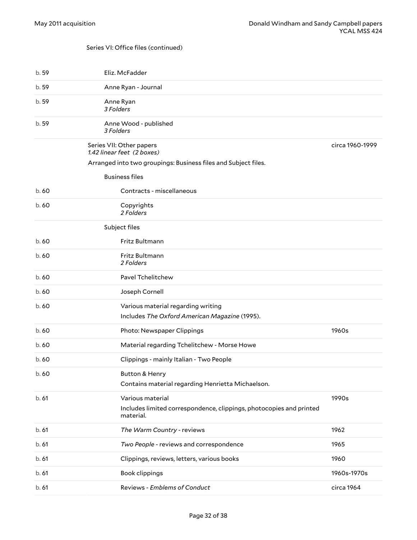<span id="page-31-2"></span><span id="page-31-1"></span><span id="page-31-0"></span>

| b. 59 | Eliz. McFadder                                                                                       |                 |
|-------|------------------------------------------------------------------------------------------------------|-----------------|
| b.59  | Anne Ryan - Journal                                                                                  |                 |
| b. 59 | Anne Ryan<br>3 Folders                                                                               |                 |
| b. 59 | Anne Wood - published<br>3 Folders                                                                   |                 |
|       | Series VII: Other papers<br>1.42 linear feet (2 boxes)                                               | circa 1960-1999 |
|       | Arranged into two groupings: Business files and Subject files.                                       |                 |
|       | <b>Business files</b>                                                                                |                 |
| b.60  | Contracts - miscellaneous                                                                            |                 |
| b.60  | Copyrights<br>2 Folders                                                                              |                 |
|       | Subject files                                                                                        |                 |
| b.60  | Fritz Bultmann                                                                                       |                 |
| b.60  | Fritz Bultmann<br>2 Folders                                                                          |                 |
| b.60  | Pavel Tchelitchew                                                                                    |                 |
| b.60  | Joseph Cornell                                                                                       |                 |
| b.60  | Various material regarding writing                                                                   |                 |
|       | Includes The Oxford American Magazine (1995).                                                        |                 |
| b.60  | Photo: Newspaper Clippings                                                                           | 1960s           |
| b.60  | Material regarding Tchelitchew - Morse Howe                                                          |                 |
| b.60  | Clippings - mainly Italian - Two People                                                              |                 |
| b.60  | <b>Button &amp; Henry</b><br>Contains material regarding Henrietta Michaelson.                       |                 |
| b.61  | Various material<br>Includes limited correspondence, clippings, photocopies and printed<br>material. | 1990s           |
| b.61  | The Warm Country - reviews                                                                           | 1962            |
| b.61  | Two People - reviews and correspondence                                                              | 1965            |
| b.61  | Clippings, reviews, letters, various books                                                           | 1960            |
| b.61  | Book clippings                                                                                       | 1960s-1970s     |
| b.61  | Reviews - Emblems of Conduct                                                                         | circa 1964      |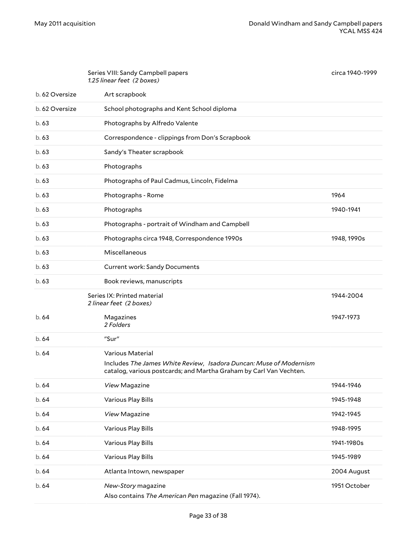<span id="page-32-1"></span><span id="page-32-0"></span>

|                | Series VIII: Sandy Campbell papers<br>1.25 linear feet (2 boxes)                                                                         | circa 1940-1999 |
|----------------|------------------------------------------------------------------------------------------------------------------------------------------|-----------------|
| b. 62 Oversize | Art scrapbook                                                                                                                            |                 |
| b. 62 Oversize | School photographs and Kent School diploma                                                                                               |                 |
| b.63           | Photographs by Alfredo Valente                                                                                                           |                 |
| b.63           | Correspondence - clippings from Don's Scrapbook                                                                                          |                 |
| b.63           | Sandy's Theater scrapbook                                                                                                                |                 |
| b.63           | Photographs                                                                                                                              |                 |
| b.63           | Photographs of Paul Cadmus, Lincoln, Fidelma                                                                                             |                 |
| b.63           | Photographs - Rome                                                                                                                       | 1964            |
| b.63           | Photographs                                                                                                                              | 1940-1941       |
| b.63           | Photographs - portrait of Windham and Campbell                                                                                           |                 |
| b.63           | Photographs circa 1948, Correspondence 1990s                                                                                             | 1948, 1990s     |
| b.63           | Miscellaneous                                                                                                                            |                 |
| b.63           | <b>Current work: Sandy Documents</b>                                                                                                     |                 |
| b.63           | Book reviews, manuscripts                                                                                                                |                 |
|                | Series IX: Printed material<br>2 linear feet (2 boxes)                                                                                   | 1944-2004       |
| b. 64          | Magazines<br>2 Folders                                                                                                                   | 1947-1973       |
| b.64           | "Sur"                                                                                                                                    |                 |
| b.64           | Various Material                                                                                                                         |                 |
|                | Includes The James White Review, Isadora Duncan: Muse of Modernism<br>catalog, various postcards; and Martha Graham by Carl Van Vechten. |                 |
| b. 64          | View Magazine                                                                                                                            | 1944-1946       |
| b. 64          | Various Play Bills                                                                                                                       | 1945-1948       |
| b. 64          | View Magazine                                                                                                                            | 1942-1945       |
| b. 64          | Various Play Bills                                                                                                                       | 1948-1995       |
| b. 64          | Various Play Bills                                                                                                                       | 1941-1980s      |
| b. 64          | Various Play Bills                                                                                                                       | 1945-1989       |
| b. 64          | Atlanta Intown, newspaper                                                                                                                | 2004 August     |
| b. 64          | New-Story magazine<br>Also contains The American Pen magazine (Fall 1974).                                                               | 1951 October    |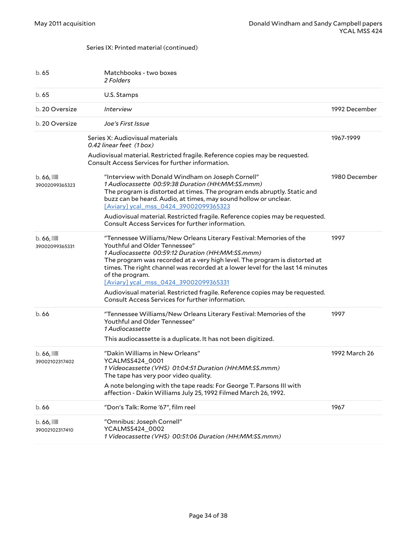#### Series IX: Printed material (continued)

<span id="page-33-0"></span>

| b. 65                            | Matchbooks - two boxes<br>2 Folders                                                                                                                                                                                                                                                                                                                                                 |               |
|----------------------------------|-------------------------------------------------------------------------------------------------------------------------------------------------------------------------------------------------------------------------------------------------------------------------------------------------------------------------------------------------------------------------------------|---------------|
| b.65                             | U.S. Stamps                                                                                                                                                                                                                                                                                                                                                                         |               |
| b. 20 Oversize                   | <i><u><b>Interview</b></u></i>                                                                                                                                                                                                                                                                                                                                                      | 1992 December |
| b. 20 Oversize                   | Joe's First Issue                                                                                                                                                                                                                                                                                                                                                                   |               |
|                                  | Series X: Audiovisual materials<br>0.42 linear feet (1 box)                                                                                                                                                                                                                                                                                                                         | 1967-1999     |
|                                  | Audiovisual material. Restricted fragile. Reference copies may be requested.<br>Consult Access Services for further information.                                                                                                                                                                                                                                                    |               |
| $b.66$ , $III$<br>39002099365323 | "Interview with Donald Windham on Joseph Cornell"<br>1 Audiocassette 00:59:38 Duration (HH:MM:SS.mmm)<br>The program is distorted at times. The program ends abruptly. Static and<br>buzz can be heard. Audio, at times, may sound hollow or unclear.<br>[Aviary] ycal mss 0424 39002099365323                                                                                      | 1980 December |
|                                  | Audiovisual material. Restricted fragile. Reference copies may be requested.<br>Consult Access Services for further information.                                                                                                                                                                                                                                                    |               |
| $b.66$ , $III$<br>39002099365331 | "Tennessee Williams/New Orleans Literary Festival: Memories of the<br>Youthful and Older Tennessee"<br>1 Audiocassette 00:59:12 Duration (HH:MM:SS.mmm)<br>The program was recorded at a very high level. The program is distorted at<br>times. The right channel was recorded at a lower level for the last 14 minutes<br>of the program.<br>[Aviary] ycal_mss_0424_39002099365331 | 1997          |
|                                  | Audiovisual material. Restricted fragile. Reference copies may be requested.<br>Consult Access Services for further information.                                                                                                                                                                                                                                                    |               |
| b.66                             | "Tennessee Williams/New Orleans Literary Festival: Memories of the<br>Youthful and Older Tennessee"<br>1 Audiocassette                                                                                                                                                                                                                                                              | 1997          |
|                                  | This audiocassette is a duplicate. It has not been digitized.                                                                                                                                                                                                                                                                                                                       |               |
| $b.66$ , $III$<br>39002102317402 | "Dakin Williams in New Orleans"<br>YCALMSS424_0001<br>1 Videocassette (VHS) 01:04:51 Duration (HH:MM:SS.mmm)<br>The tape has very poor video quality.                                                                                                                                                                                                                               | 1992 March 26 |
|                                  | A note belonging with the tape reads: For George T. Parsons III with<br>affection - Dakin Williams July 25, 1992 Filmed March 26, 1992.                                                                                                                                                                                                                                             |               |
| b.66                             | "Don's Talk: Rome '67", film reel                                                                                                                                                                                                                                                                                                                                                   | 1967          |
| $b.66$ , $III$<br>39002102317410 | "Omnibus: Joseph Cornell"<br>YCALMSS424_0002<br>1 Videocassette (VHS) 00:51:06 Duration (HH:MM:SS.mmm)                                                                                                                                                                                                                                                                              |               |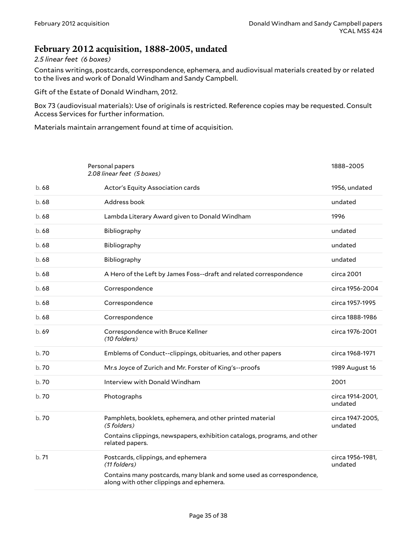### <span id="page-34-0"></span>**February 2012 acquisition, 1888-2005, undated**

#### *2.5 linear feet (6 boxes)*

Contains writings, postcards, correspondence, ephemera, and audiovisual materials created by or related to the lives and work of Donald Windham and Sandy Campbell.

Gift of the Estate of Donald Windham, 2012.

Box 73 (audiovisual materials): Use of originals is restricted. Reference copies may be requested. Consult Access Services for further information.

Materials maintain arrangement found at time of acquisition.

<span id="page-34-1"></span>

|       | Personal papers<br>2.08 linear feet (5 boxes)                                                                    | 1888-2005                   |
|-------|------------------------------------------------------------------------------------------------------------------|-----------------------------|
| b.68  | Actor's Equity Association cards                                                                                 | 1956, undated               |
| b.68  | Address book                                                                                                     | undated                     |
| b.68  | Lambda Literary Award given to Donald Windham                                                                    | 1996                        |
| b.68  | Bibliography                                                                                                     | undated                     |
| b.68  | Bibliography                                                                                                     | undated                     |
| b.68  | Bibliography                                                                                                     | undated                     |
| b.68  | A Hero of the Left by James Foss--draft and related correspondence                                               | circa 2001                  |
| b.68  | Correspondence                                                                                                   | circa 1956-2004             |
| b.68  | Correspondence                                                                                                   | circa 1957-1995             |
| b.68  | Correspondence                                                                                                   | circa 1888-1986             |
| b.69  | Correspondence with Bruce Kellner<br>(10 folders)                                                                | circa 1976-2001             |
| b. 70 | Emblems of Conduct--clippings, obituaries, and other papers                                                      | circa 1968-1971             |
| b. 70 | Mr.s Joyce of Zurich and Mr. Forster of King's--proofs                                                           | 1989 August 16              |
| b.70  | Interview with Donald Windham                                                                                    | 2001                        |
| b.70  | Photographs                                                                                                      | circa 1914-2001,<br>undated |
| b.70  | Pamphlets, booklets, ephemera, and other printed material<br>(5 folders)                                         | circa 1947-2005,<br>undated |
|       | Contains clippings, newspapers, exhibition catalogs, programs, and other<br>related papers.                      |                             |
| b.71  | Postcards, clippings, and ephemera<br>(11 folders)                                                               | circa 1956-1981,<br>undated |
|       | Contains many postcards, many blank and some used as correspondence,<br>along with other clippings and ephemera. |                             |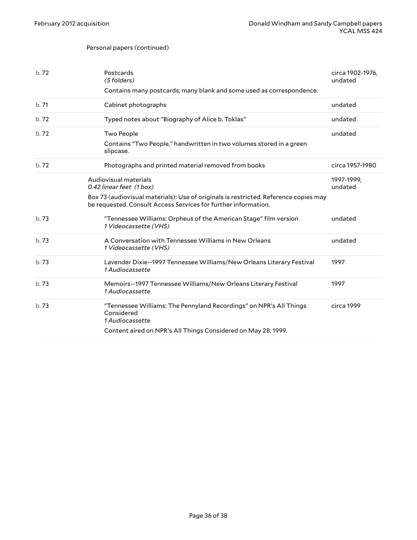#### Personal papers (continued)

<span id="page-35-0"></span>

| b.72 | Postcards<br>(5 folders)                                                                                                                               | circa 1902-1976,<br>undated |
|------|--------------------------------------------------------------------------------------------------------------------------------------------------------|-----------------------------|
|      | Contains many postcards, many blank and some used as correspondence.                                                                                   |                             |
| b.71 | Cabinet photographs                                                                                                                                    | undated                     |
| b.72 | Typed notes about "Biography of Alice b. Toklas"                                                                                                       | undated                     |
| b.72 | <b>Two People</b>                                                                                                                                      | undated                     |
|      | Contains "Two People," handwritten in two volumes stored in a green<br>slipcase.                                                                       |                             |
| b.72 | Photographs and printed material removed from books                                                                                                    | circa 1957-1980             |
|      | Audiovisual materials<br>0.42 linear feet (1 box)                                                                                                      | 1997-1999,<br>undated       |
|      | Box 73 (audiovisual materials): Use of originals is restricted. Reference copies may<br>be requested. Consult Access Services for further information. |                             |
| b.73 | "Tennessee Williams: Orpheus of the American Stage" film version<br>1 Videocassette (VHS)                                                              | undated                     |
| b.73 | A Conversation with Tennessee Williams in New Orleans<br>1 Videocassette (VHS)                                                                         | undated                     |
| b.73 | Lavender Dixie--1997 Tennessee Williams/New Orleans Literary Festival<br>1 Audiocassette                                                               | 1997                        |
| b.73 | Memoirs--1997 Tennessee Williams/New Orleans Literary Festival<br>1 Audiocassette                                                                      | 1997                        |
| b.73 | "Tennessee Williams: The Pennyland Recordings" on NPR's All Things<br>Considered<br>1 Audiocassette                                                    | circa 1999                  |
|      | Content aired on NPR's All Things Considered on May 28, 1999.                                                                                          |                             |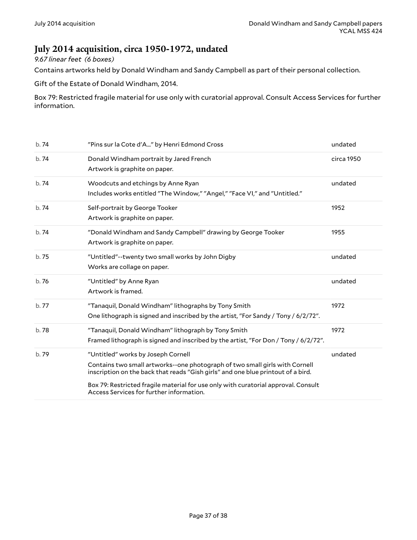### <span id="page-36-0"></span>**July 2014 acquisition, circa 1950-1972, undated**

#### *9.67 linear feet (6 boxes)*

Contains artworks held by Donald Windham and Sandy Campbell as part of their personal collection.

Gift of the Estate of Donald Windham, 2014.

Box 79: Restricted fragile material for use only with curatorial approval. Consult Access Services for further information.

| b.74  | "Pins sur la Cote d'A" by Henri Edmond Cross                                                                                                                                                                                                                                                                                            | undated    |
|-------|-----------------------------------------------------------------------------------------------------------------------------------------------------------------------------------------------------------------------------------------------------------------------------------------------------------------------------------------|------------|
| b.74  | Donald Windham portrait by Jared French<br>Artwork is graphite on paper.                                                                                                                                                                                                                                                                | circa 1950 |
| b.74  | Woodcuts and etchings by Anne Ryan<br>Includes works entitled "The Window," "Angel," "Face VI," and "Untitled."                                                                                                                                                                                                                         | undated    |
| b.74  | Self-portrait by George Tooker<br>Artwork is graphite on paper.                                                                                                                                                                                                                                                                         | 1952       |
| b.74  | "Donald Windham and Sandy Campbell" drawing by George Tooker<br>Artwork is graphite on paper.                                                                                                                                                                                                                                           | 1955       |
| b. 75 | "Untitled"--twenty two small works by John Digby<br>Works are collage on paper.                                                                                                                                                                                                                                                         | undated    |
| b.76  | "Untitled" by Anne Ryan<br>Artwork is framed.                                                                                                                                                                                                                                                                                           | undated    |
| b.77  | "Tanaquil, Donald Windham" lithographs by Tony Smith<br>One lithograph is signed and inscribed by the artist, "For Sandy / Tony / 6/2/72".                                                                                                                                                                                              | 1972       |
| b.78  | "Tanaquil, Donald Windham" lithograph by Tony Smith<br>Framed lithograph is signed and inscribed by the artist, "For Don / Tony / 6/2/72".                                                                                                                                                                                              | 1972       |
| b.79  | "Untitled" works by Joseph Cornell<br>Contains two small artworks--one photograph of two small girls with Cornell<br>inscription on the back that reads "Gish girls" and one blue printout of a bird.<br>Box 79: Restricted fragile material for use only with curatorial approval. Consult<br>Access Services for further information. | undated    |